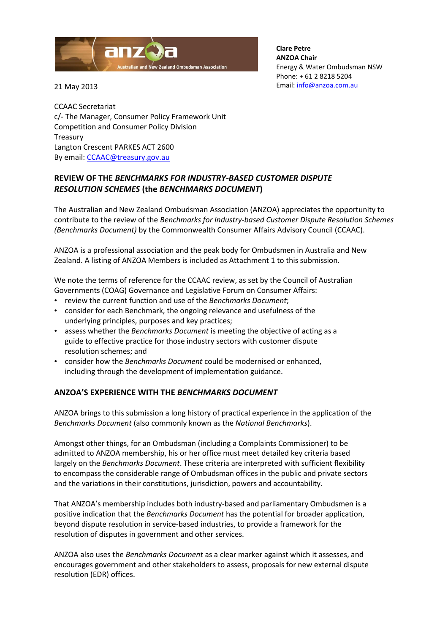

**Clare Petre ANZOA Chair** Energy & Water Ombudsman NSW Phone: + 61 2 8218 5204 Email[: info@anzoa.com.au](mailto:info@anzoa.com.au)

21 May 2013

CCAAC Secretariat c/- The Manager, Consumer Policy Framework Unit Competition and Consumer Policy Division **Treasury** Langton Crescent PARKES ACT 2600 By email: [CCAAC@treasury.gov.au](mailto:CCAAC@treasury.gov.au)

# **REVIEW OF THE** *BENCHMARKS FOR INDUSTRY-BASED CUSTOMER DISPUTE RESOLUTION SCHEMES* **(the** *BENCHMARKS DOCUMENT***)**

The Australian and New Zealand Ombudsman Association (ANZOA) appreciates the opportunity to contribute to the review of the *Benchmarks for Industry-based Customer Dispute Resolution Schemes (Benchmarks Document)* by the Commonwealth Consumer Affairs Advisory Council (CCAAC).

ANZOA is a professional association and the peak body for Ombudsmen in Australia and New Zealand. A listing of ANZOA Members is included as Attachment 1 to this submission.

We note the terms of reference for the CCAAC review, as set by the Council of Australian Governments (COAG) Governance and Legislative Forum on Consumer Affairs:

- review the current function and use of the *Benchmarks Document*;
- consider for each Benchmark, the ongoing relevance and usefulness of the underlying principles, purposes and key practices;
- assess whether the *Benchmarks Document* is meeting the objective of acting as a guide to effective practice for those industry sectors with customer dispute resolution schemes; and
- consider how the *Benchmarks Document* could be modernised or enhanced, including through the development of implementation guidance.

# **ANZOA'S EXPERIENCE WITH THE** *BENCHMARKS DOCUMENT*

ANZOA brings to this submission a long history of practical experience in the application of the *Benchmarks Document* (also commonly known as the *National Benchmarks*).

Amongst other things, for an Ombudsman (including a Complaints Commissioner) to be admitted to ANZOA membership, his or her office must meet detailed key criteria based largely on the *Benchmarks Document*. These criteria are interpreted with sufficient flexibility to encompass the considerable range of Ombudsman offices in the public and private sectors and the variations in their constitutions, jurisdiction, powers and accountability.

That ANZOA's membership includes both industry-based and parliamentary Ombudsmen is a positive indication that the *Benchmarks Document* has the potential for broader application, beyond dispute resolution in service-based industries, to provide a framework for the resolution of disputes in government and other services.

ANZOA also uses the *Benchmarks Document* as a clear marker against which it assesses, and encourages government and other stakeholders to assess, proposals for new external dispute resolution (EDR) offices.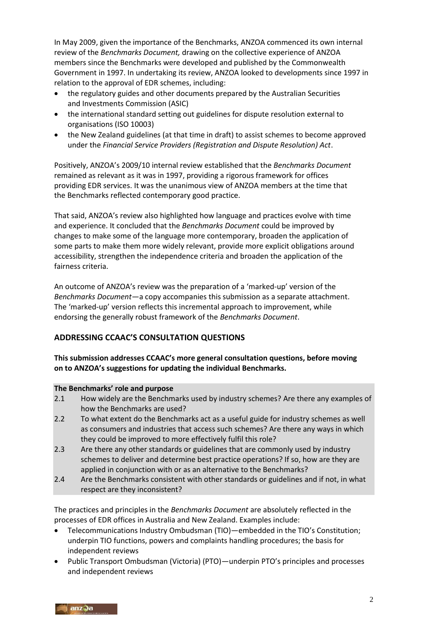In May 2009, given the importance of the Benchmarks, ANZOA commenced its own internal review of the *Benchmarks Document,* drawing on the collective experience of ANZOA members since the Benchmarks were developed and published by the Commonwealth Government in 1997. In undertaking its review, ANZOA looked to developments since 1997 in relation to the approval of EDR schemes, including:

- the regulatory guides and other documents prepared by the Australian Securities and Investments Commission (ASIC)
- the international standard setting out guidelines for dispute resolution external to organisations (ISO 10003)
- the New Zealand guidelines (at that time in draft) to assist schemes to become approved under the *Financial Service Providers (Registration and Dispute Resolution) Act*.

Positively, ANZOA's 2009/10 internal review established that the *Benchmarks Document*  remained as relevant as it was in 1997, providing a rigorous framework for offices providing EDR services. It was the unanimous view of ANZOA members at the time that the Benchmarks reflected contemporary good practice.

That said, ANZOA's review also highlighted how language and practices evolve with time and experience. It concluded that the *Benchmarks Document* could be improved by changes to make some of the language more contemporary, broaden the application of some parts to make them more widely relevant, provide more explicit obligations around accessibility, strengthen the independence criteria and broaden the application of the fairness criteria.

An outcome of ANZOA's review was the preparation of a 'marked-up' version of the *Benchmarks Document*—a copy accompanies this submission as a separate attachment. The 'marked-up' version reflects this incremental approach to improvement, while endorsing the generally robust framework of the *Benchmarks Document*.

# **ADDRESSING CCAAC'S CONSULTATION QUESTIONS**

**This submission addresses CCAAC's more general consultation questions, before moving on to ANZOA's suggestions for updating the individual Benchmarks.**

### **The Benchmarks' role and purpose**

- 2.1 How widely are the Benchmarks used by industry schemes? Are there any examples of how the Benchmarks are used?
- 2.2 To what extent do the Benchmarks act as a useful guide for industry schemes as well as consumers and industries that access such schemes? Are there any ways in which they could be improved to more effectively fulfil this role?
- 2.3 Are there any other standards or guidelines that are commonly used by industry schemes to deliver and determine best practice operations? If so, how are they are applied in conjunction with or as an alternative to the Benchmarks?
- 2.4 Are the Benchmarks consistent with other standards or guidelines and if not, in what respect are they inconsistent?

The practices and principles in the *Benchmarks Document* are absolutely reflected in the processes of EDR offices in Australia and New Zealand. Examples include:

- Telecommunications Industry Ombudsman (TIO)—embedded in the TIO's Constitution; underpin TIO functions, powers and complaints handling procedures; the basis for independent reviews
- Public Transport Ombudsman (Victoria) (PTO)—underpin PTO's principles and processes and independent reviews

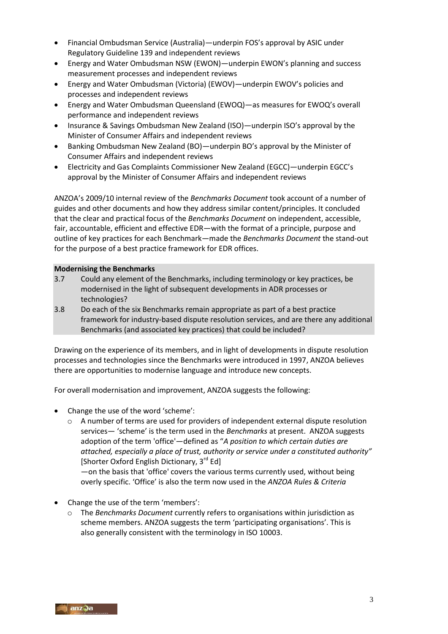- Financial Ombudsman Service (Australia)—underpin FOS's approval by ASIC under Regulatory Guideline 139 and independent reviews
- Energy and Water Ombudsman NSW (EWON)—underpin EWON's planning and success measurement processes and independent reviews
- Energy and Water Ombudsman (Victoria) (EWOV)—underpin EWOV's policies and processes and independent reviews
- Energy and Water Ombudsman Queensland (EWOQ)—as measures for EWOQ's overall performance and independent reviews
- Insurance & Savings Ombudsman New Zealand (ISO)—underpin ISO's approval by the Minister of Consumer Affairs and independent reviews
- Banking Ombudsman New Zealand (BO)—underpin BO's approval by the Minister of Consumer Affairs and independent reviews
- Electricity and Gas Complaints Commissioner New Zealand (EGCC)—underpin EGCC's approval by the Minister of Consumer Affairs and independent reviews

ANZOA's 2009/10 internal review of the *Benchmarks Document* took account of a number of guides and other documents and how they address similar content/principles. It concluded that the clear and practical focus of the *Benchmarks Document* on independent, accessible, fair, accountable, efficient and effective EDR—with the format of a principle, purpose and outline of key practices for each Benchmark—made the *Benchmarks Document* the stand-out for the purpose of a best practice framework for EDR offices.

### **Modernising the Benchmarks**

- 3.7 Could any element of the Benchmarks, including terminology or key practices, be modernised in the light of subsequent developments in ADR processes or technologies?
- 3.8 Do each of the six Benchmarks remain appropriate as part of a best practice framework for industry-based dispute resolution services, and are there any additional Benchmarks (and associated key practices) that could be included?

Drawing on the experience of its members, and in light of developments in dispute resolution processes and technologies since the Benchmarks were introduced in 1997, ANZOA believes there are opportunities to modernise language and introduce new concepts.

For overall modernisation and improvement, ANZOA suggests the following:

- Change the use of the word 'scheme':
	- o A number of terms are used for providers of independent external dispute resolution services— 'scheme' is the term used in the *Benchmarks* at present. ANZOA suggests adoption of the term 'office'—defined as "*A position to which certain duties are attached, especially a place of trust, authority or service under a constituted authority"*  [Shorter Oxford English Dictionary,  $3^{rd}$  Ed]

—on the basis that 'office' covers the various terms currently used, without being overly specific. 'Office' is also the term now used in the *ANZOA Rules & Criteria*

- Change the use of the term 'members':
	- o The *Benchmarks Document* currently refers to organisations within jurisdiction as scheme members. ANZOA suggests the term 'participating organisations'. This is also generally consistent with the terminology in ISO 10003.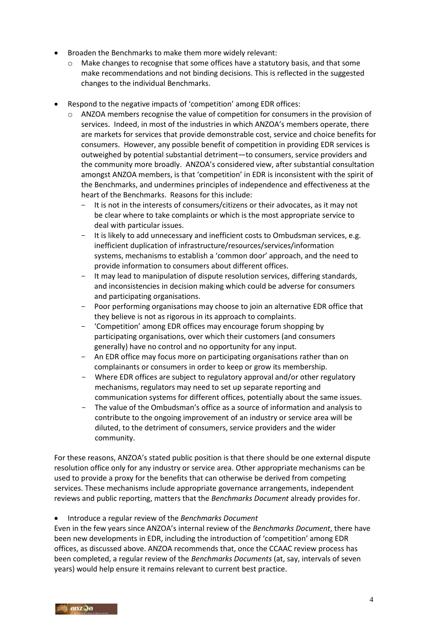- Broaden the Benchmarks to make them more widely relevant:
	- $\circ$  Make changes to recognise that some offices have a statutory basis, and that some make recommendations and not binding decisions. This is reflected in the suggested changes to the individual Benchmarks.
- Respond to the negative impacts of 'competition' among EDR offices:
	- $\circ$  ANZOA members recognise the value of competition for consumers in the provision of services. Indeed, in most of the industries in which ANZOA's members operate, there are markets for services that provide demonstrable cost, service and choice benefits for consumers. However, any possible benefit of competition in providing EDR services is outweighed by potential substantial detriment—to consumers, service providers and the community more broadly. ANZOA's considered view, after substantial consultation amongst ANZOA members, is that 'competition' in EDR is inconsistent with the spirit of the Benchmarks, and undermines principles of independence and effectiveness at the heart of the Benchmarks. Reasons for this include:
		- It is not in the interests of consumers/citizens or their advocates, as it may not be clear where to take complaints or which is the most appropriate service to deal with particular issues.
		- It is likely to add unnecessary and inefficient costs to Ombudsman services, e.g. inefficient duplication of infrastructure/resources/services/information systems, mechanisms to establish a 'common door' approach, and the need to provide information to consumers about different offices.
		- It may lead to manipulation of dispute resolution services, differing standards, and inconsistencies in decision making which could be adverse for consumers and participating organisations.
		- Poor performing organisations may choose to join an alternative EDR office that they believe is not as rigorous in its approach to complaints.
		- 'Competition' among EDR offices may encourage forum shopping by participating organisations, over which their customers (and consumers generally) have no control and no opportunity for any input.
		- An EDR office may focus more on participating organisations rather than on complainants or consumers in order to keep or grow its membership.
		- Where EDR offices are subject to regulatory approval and/or other regulatory mechanisms, regulators may need to set up separate reporting and communication systems for different offices, potentially about the same issues.
		- The value of the Ombudsman's office as a source of information and analysis to contribute to the ongoing improvement of an industry or service area will be diluted, to the detriment of consumers, service providers and the wider community.

For these reasons, ANZOA's stated public position is that there should be one external dispute resolution office only for any industry or service area. Other appropriate mechanisms can be used to provide a proxy for the benefits that can otherwise be derived from competing services. These mechanisms include appropriate governance arrangements, independent reviews and public reporting, matters that the *Benchmarks Document* already provides for.

Introduce a regular review of the *Benchmarks Document*

Even in the few years since ANZOA's internal review of the *Benchmarks Document*, there have been new developments in EDR, including the introduction of 'competition' among EDR offices, as discussed above. ANZOA recommends that, once the CCAAC review process has been completed, a regular review of the *Benchmarks Documents* (at, say, intervals of seven years) would help ensure it remains relevant to current best practice.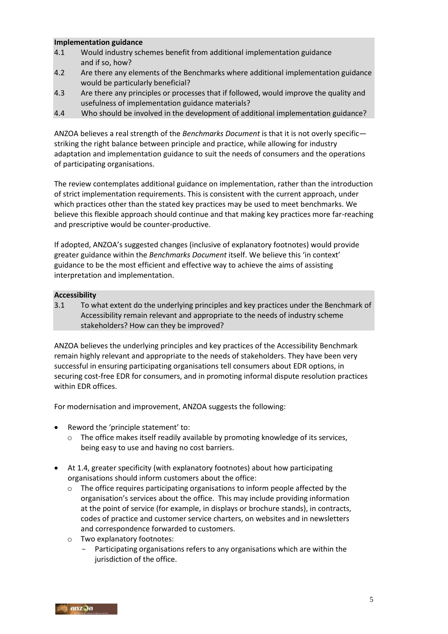#### **Implementation guidance**

- 4.1 Would industry schemes benefit from additional implementation guidance and if so, how?
- 4.2 Are there any elements of the Benchmarks where additional implementation guidance would be particularly beneficial?
- 4.3 Are there any principles or processes that if followed, would improve the quality and usefulness of implementation guidance materials?
- 4.4 Who should be involved in the development of additional implementation guidance?

ANZOA believes a real strength of the *Benchmarks Document* is that it is not overly specific striking the right balance between principle and practice, while allowing for industry adaptation and implementation guidance to suit the needs of consumers and the operations of participating organisations.

The review contemplates additional guidance on implementation, rather than the introduction of strict implementation requirements. This is consistent with the current approach, under which practices other than the stated key practices may be used to meet benchmarks. We believe this flexible approach should continue and that making key practices more far-reaching and prescriptive would be counter-productive.

If adopted, ANZOA's suggested changes (inclusive of explanatory footnotes) would provide greater guidance within the *Benchmarks Document* itself. We believe this 'in context' guidance to be the most efficient and effective way to achieve the aims of assisting interpretation and implementation.

### **Accessibility**

3.1 To what extent do the underlying principles and key practices under the Benchmark of Accessibility remain relevant and appropriate to the needs of industry scheme stakeholders? How can they be improved?

ANZOA believes the underlying principles and key practices of the Accessibility Benchmark remain highly relevant and appropriate to the needs of stakeholders. They have been very successful in ensuring participating organisations tell consumers about EDR options, in securing cost-free EDR for consumers, and in promoting informal dispute resolution practices within EDR offices.

- Reword the 'principle statement' to:
	- The office makes itself readily available by promoting knowledge of its services, being easy to use and having no cost barriers.
- At 1.4, greater specificity (with explanatory footnotes) about how participating organisations should inform customers about the office:
	- $\circ$  The office requires participating organisations to inform people affected by the organisation's services about the office. This may include providing information at the point of service (for example, in displays or brochure stands), in contracts, codes of practice and customer service charters, on websites and in newsletters and correspondence forwarded to customers.
	- o Two explanatory footnotes:
		- Participating organisations refers to any organisations which are within the jurisdiction of the office.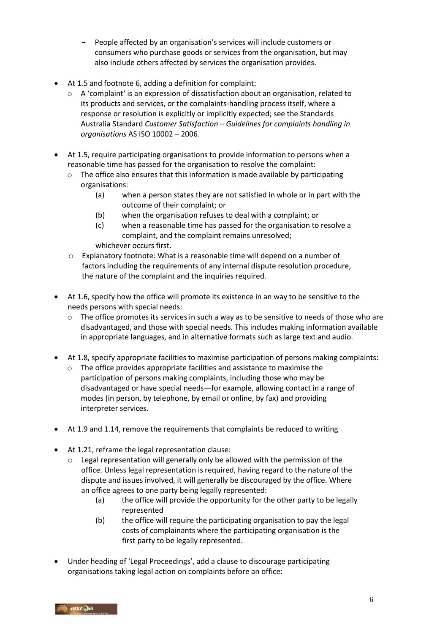- People affected by an organisation's services will include customers or consumers who purchase goods or services from the organisation, but may also include others affected by services the organisation provides.
- At 1.5 and footnote 6, adding a definition for complaint:
	- o A 'complaint' is an expression of dissatisfaction about an organisation, related to its products and services, or the complaints-handling process itself, where a response or resolution is explicitly or implicitly expected; see the Standards Australia Standard *Customer Satisfaction – Guidelines for complaints handling in organisations* AS ISO 10002 – 2006.
- At 1.5, require participating organisations to provide information to persons when a reasonable time has passed for the organisation to resolve the complaint:
	- $\circ$  The office also ensures that this information is made available by participating organisations:
		- (a) when a person states they are not satisfied in whole or in part with the outcome of their complaint; or
		- (b) when the organisation refuses to deal with a complaint; or
		- (c) when a reasonable time has passed for the organisation to resolve a complaint, and the complaint remains unresolved; whichever occurs first.
	- o Explanatory footnote: What is a reasonable time will depend on a number of factors including the requirements of any internal dispute resolution procedure, the nature of the complaint and the inquiries required.
- At 1.6, specify how the office will promote its existence in an way to be sensitive to the needs persons with special needs:
	- o The office promotes its services in such a way as to be sensitive to needs of those who are disadvantaged, and those with special needs. This includes making information available in appropriate languages, and in alternative formats such as large text and audio.
- At 1.8, specify appropriate facilities to maximise participation of persons making complaints:
	- o The office provides appropriate facilities and assistance to maximise the participation of persons making complaints, including those who may be disadvantaged or have special needs—for example, allowing contact in a range of modes (in person, by telephone, by email or online, by fax) and providing interpreter services.
- At 1.9 and 1.14, remove the requirements that complaints be reduced to writing
- At 1.21, reframe the legal representation clause:
	- o Legal representation will generally only be allowed with the permission of the office. Unless legal representation is required, having regard to the nature of the dispute and issues involved, it will generally be discouraged by the office. Where an office agrees to one party being legally represented:
		- (a) the office will provide the opportunity for the other party to be legally represented
		- (b) the office will require the participating organisation to pay the legal costs of complainants where the participating organisation is the first party to be legally represented.
- Under heading of 'Legal Proceedings', add a clause to discourage participating organisations taking legal action on complaints before an office: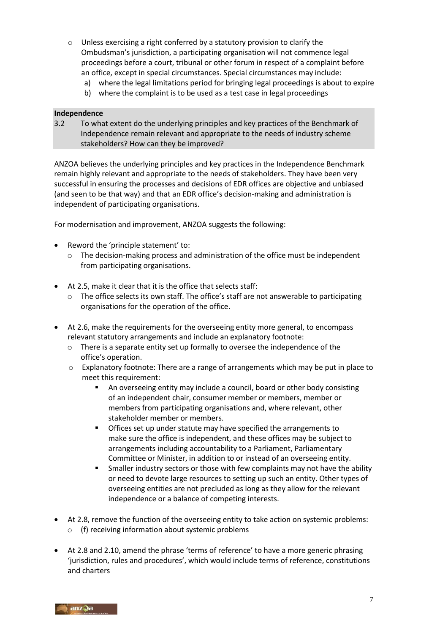- o Unless exercising a right conferred by a statutory provision to clarify the Ombudsman's jurisdiction, a participating organisation will not commence legal proceedings before a court, tribunal or other forum in respect of a complaint before an office, except in special circumstances. Special circumstances may include:
	- a) where the legal limitations period for bringing legal proceedings is about to expire
	- b) where the complaint is to be used as a test case in legal proceedings

#### **Independence**

3.2 To what extent do the underlying principles and key practices of the Benchmark of Independence remain relevant and appropriate to the needs of industry scheme stakeholders? How can they be improved?

ANZOA believes the underlying principles and key practices in the Independence Benchmark remain highly relevant and appropriate to the needs of stakeholders. They have been very successful in ensuring the processes and decisions of EDR offices are objective and unbiased (and seen to be that way) and that an EDR office's decision-making and administration is independent of participating organisations.

- Reword the 'principle statement' to:
	- $\circ$  The decision-making process and administration of the office must be independent from participating organisations.
- At 2.5, make it clear that it is the office that selects staff:
	- o The office selects its own staff. The office's staff are not answerable to participating organisations for the operation of the office.
- At 2.6, make the requirements for the overseeing entity more general, to encompass relevant statutory arrangements and include an explanatory footnote:
	- $\circ$  There is a separate entity set up formally to oversee the independence of the office's operation.
	- $\circ$  Explanatory footnote: There are a range of arrangements which may be put in place to meet this requirement:
		- An overseeing entity may include a council, board or other body consisting of an independent chair, consumer member or members, member or members from participating organisations and, where relevant, other stakeholder member or members.
		- Offices set up under statute may have specified the arrangements to make sure the office is independent, and these offices may be subject to arrangements including accountability to a Parliament, Parliamentary Committee or Minister, in addition to or instead of an overseeing entity.
		- Smaller industry sectors or those with few complaints may not have the ability or need to devote large resources to setting up such an entity. Other types of overseeing entities are not precluded as long as they allow for the relevant independence or a balance of competing interests.
- At 2.8, remove the function of the overseeing entity to take action on systemic problems: o (f) receiving information about systemic problems
- At 2.8 and 2.10, amend the phrase 'terms of reference' to have a more generic phrasing 'jurisdiction, rules and procedures', which would include terms of reference, constitutions and charters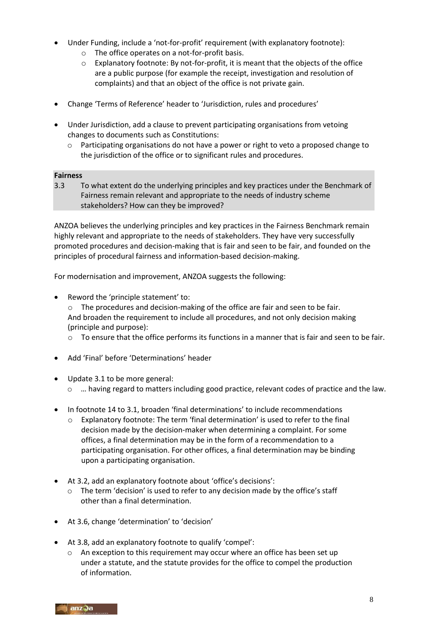- Under Funding, include a 'not-for-profit' requirement (with explanatory footnote):
	- o The office operates on a not-for-profit basis.
	- $\circ$  Explanatory footnote: By not-for-profit, it is meant that the objects of the office are a public purpose (for example the receipt, investigation and resolution of complaints) and that an object of the office is not private gain.
- Change 'Terms of Reference' header to 'Jurisdiction, rules and procedures'
- Under Jurisdiction, add a clause to prevent participating organisations from vetoing changes to documents such as Constitutions:
	- $\circ$  Participating organisations do not have a power or right to veto a proposed change to the jurisdiction of the office or to significant rules and procedures.

#### **Fairness**

3.3 To what extent do the underlying principles and key practices under the Benchmark of Fairness remain relevant and appropriate to the needs of industry scheme stakeholders? How can they be improved?

ANZOA believes the underlying principles and key practices in the Fairness Benchmark remain highly relevant and appropriate to the needs of stakeholders. They have very successfully promoted procedures and decision-making that is fair and seen to be fair, and founded on the principles of procedural fairness and information-based decision-making.

For modernisation and improvement, ANZOA suggests the following:

• Reword the 'principle statement' to:

o The procedures and decision-making of the office are fair and seen to be fair. And broaden the requirement to include all procedures, and not only decision making (principle and purpose):

- $\circ$  To ensure that the office performs its functions in a manner that is fair and seen to be fair.
- Add 'Final' before 'Determinations' header
- Update 3.1 to be more general:
	- o … having regard to matters including good practice, relevant codes of practice and the law.
- In footnote 14 to 3.1, broaden 'final determinations' to include recommendations
	- $\circ$  Explanatory footnote: The term 'final determination' is used to refer to the final decision made by the decision-maker when determining a complaint. For some offices, a final determination may be in the form of a recommendation to a participating organisation. For other offices, a final determination may be binding upon a participating organisation.
- At 3.2, add an explanatory footnote about 'office's decisions':
	- o The term 'decision' is used to refer to any decision made by the office's staff other than a final determination.
- At 3.6, change 'determination' to 'decision'
- At 3.8, add an explanatory footnote to qualify 'compel':
	- $\circ$  An exception to this requirement may occur where an office has been set up under a statute, and the statute provides for the office to compel the production of information.

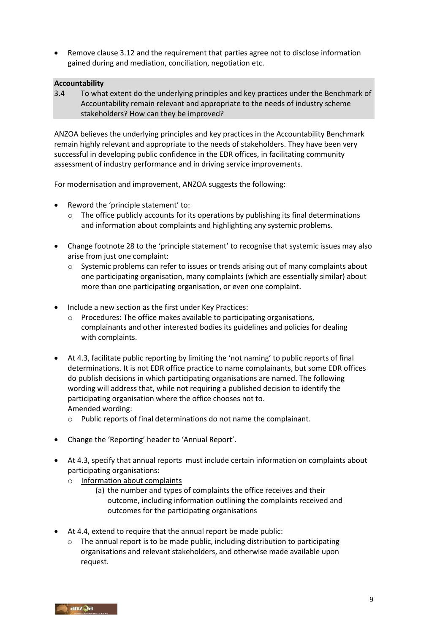Remove clause 3.12 and the requirement that parties agree not to disclose information gained during and mediation, conciliation, negotiation etc.

#### **Accountability**

3.4 To what extent do the underlying principles and key practices under the Benchmark of Accountability remain relevant and appropriate to the needs of industry scheme stakeholders? How can they be improved?

ANZOA believes the underlying principles and key practices in the Accountability Benchmark remain highly relevant and appropriate to the needs of stakeholders. They have been very successful in developing public confidence in the EDR offices, in facilitating community assessment of industry performance and in driving service improvements.

- Reword the 'principle statement' to:
	- $\circ$  The office publicly accounts for its operations by publishing its final determinations and information about complaints and highlighting any systemic problems.
- Change footnote 28 to the 'principle statement' to recognise that systemic issues may also arise from just one complaint:
	- $\circ$  Systemic problems can refer to issues or trends arising out of many complaints about one participating organisation, many complaints (which are essentially similar) about more than one participating organisation, or even one complaint.
- Include a new section as the first under Key Practices:
	- o Procedures: The office makes available to participating organisations, complainants and other interested bodies its guidelines and policies for dealing with complaints.
- At 4.3, facilitate public reporting by limiting the 'not naming' to public reports of final determinations. It is not EDR office practice to name complainants, but some EDR offices do publish decisions in which participating organisations are named. The following wording will address that, while not requiring a published decision to identify the participating organisation where the office chooses not to. Amended wording:
	- o Public reports of final determinations do not name the complainant.
- Change the 'Reporting' header to 'Annual Report'.
- At 4.3, specify that annual reports must include certain information on complaints about participating organisations:
	- o Information about complaints
		- (a) the number and types of complaints the office receives and their outcome, including information outlining the complaints received and outcomes for the participating organisations
- At 4.4, extend to require that the annual report be made public:
	- o The annual report is to be made public, including distribution to participating organisations and relevant stakeholders, and otherwise made available upon request.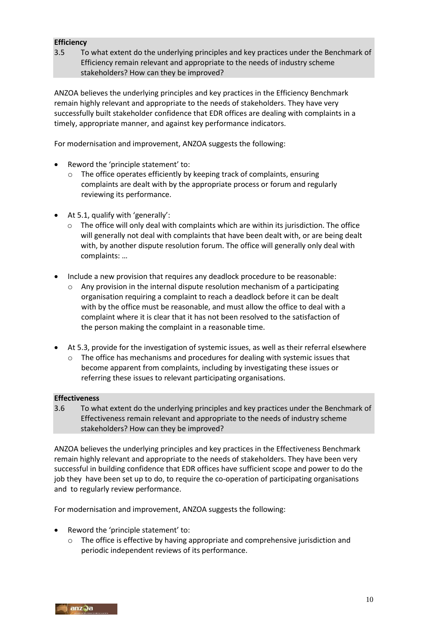### **Efficiency**

3.5 To what extent do the underlying principles and key practices under the Benchmark of Efficiency remain relevant and appropriate to the needs of industry scheme stakeholders? How can they be improved?

ANZOA believes the underlying principles and key practices in the Efficiency Benchmark remain highly relevant and appropriate to the needs of stakeholders. They have very successfully built stakeholder confidence that EDR offices are dealing with complaints in a timely, appropriate manner, and against key performance indicators.

For modernisation and improvement, ANZOA suggests the following:

- Reword the 'principle statement' to:
	- o The office operates efficiently by keeping track of complaints, ensuring complaints are dealt with by the appropriate process or forum and regularly reviewing its performance.
- At 5.1, qualify with 'generally':
	- $\circ$  The office will only deal with complaints which are within its jurisdiction. The office will generally not deal with complaints that have been dealt with, or are being dealt with, by another dispute resolution forum. The office will generally only deal with complaints: …
- Include a new provision that requires any deadlock procedure to be reasonable:
	- $\circ$  Any provision in the internal dispute resolution mechanism of a participating organisation requiring a complaint to reach a deadlock before it can be dealt with by the office must be reasonable, and must allow the office to deal with a complaint where it is clear that it has not been resolved to the satisfaction of the person making the complaint in a reasonable time.
- At 5.3, provide for the investigation of systemic issues, as well as their referral elsewhere
	- $\circ$  The office has mechanisms and procedures for dealing with systemic issues that become apparent from complaints, including by investigating these issues or referring these issues to relevant participating organisations.

### **Effectiveness**

3.6 To what extent do the underlying principles and key practices under the Benchmark of Effectiveness remain relevant and appropriate to the needs of industry scheme stakeholders? How can they be improved?

ANZOA believes the underlying principles and key practices in the Effectiveness Benchmark remain highly relevant and appropriate to the needs of stakeholders. They have been very successful in building confidence that EDR offices have sufficient scope and power to do the job they have been set up to do, to require the co-operation of participating organisations and to regularly review performance.

- Reword the 'principle statement' to:
	- $\circ$  The office is effective by having appropriate and comprehensive jurisdiction and periodic independent reviews of its performance.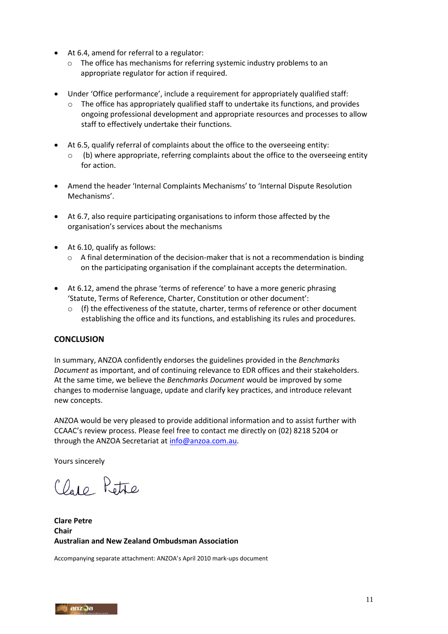- At 6.4, amend for referral to a regulator:
	- o The office has mechanisms for referring systemic industry problems to an appropriate regulator for action if required.
- Under 'Office performance', include a requirement for appropriately qualified staff:
	- $\circ$  The office has appropriately qualified staff to undertake its functions, and provides ongoing professional development and appropriate resources and processes to allow staff to effectively undertake their functions.
- At 6.5, qualify referral of complaints about the office to the overseeing entity:  $\circ$  (b) where appropriate, referring complaints about the office to the overseeing entity for action.
- Amend the header 'Internal Complaints Mechanisms' to 'Internal Dispute Resolution Mechanisms'.
- At 6.7, also require participating organisations to inform those affected by the organisation's services about the mechanisms
- At 6.10, qualify as follows:
	- $\circ$  A final determination of the decision-maker that is not a recommendation is binding on the participating organisation if the complainant accepts the determination.
- At 6.12, amend the phrase 'terms of reference' to have a more generic phrasing 'Statute, Terms of Reference, Charter, Constitution or other document':
	- $\circ$  (f) the effectiveness of the statute, charter, terms of reference or other document establishing the office and its functions, and establishing its rules and procedures.

### **CONCLUSION**

In summary, ANZOA confidently endorses the guidelines provided in the *Benchmarks Document* as important, and of continuing relevance to EDR offices and their stakeholders. At the same time, we believe the *Benchmarks Document* would be improved by some changes to modernise language, update and clarify key practices, and introduce relevant new concepts.

ANZOA would be very pleased to provide additional information and to assist further with CCAAC's review process. Please feel free to contact me directly on (02) 8218 5204 or through the ANZOA Secretariat at [info@anzoa.com.au.](mailto:info@anzoa.com.au)

Yours sincerely

Claro Petre

**Clare Petre Chair Australian and New Zealand Ombudsman Association** 

Accompanying separate attachment: ANZOA's April 2010 mark-ups document